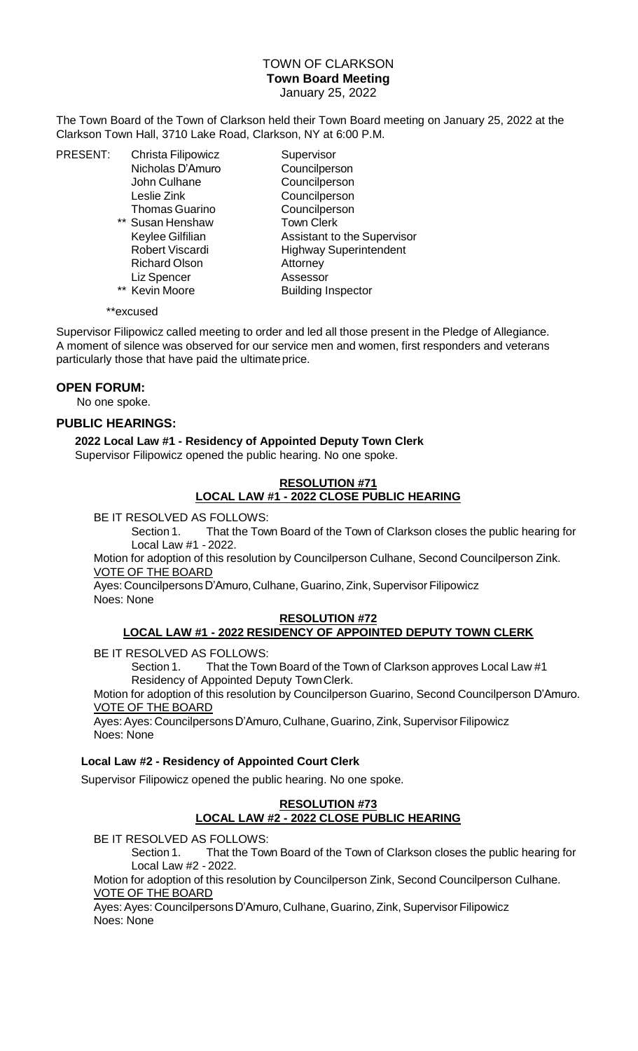## TOWN OF CLARKSON **Town Board Meeting** January 25, 2022

The Town Board of the Town of Clarkson held their Town Board meeting on January 25, 2022 at the Clarkson Town Hall, 3710 Lake Road, Clarkson, NY at 6:00 P.M.

PRESENT: Christa Filipowicz Supervisor

Thomas Guarino Councilperson \*\* Susan Henshaw Town Clerk Richard Olson **Attorney** Liz Spencer Assessor

Nicholas D'Amuro Councilperson John Culhane Councilperson Leslie Zink Councilperson Keylee Gilfilian Assistant to the Supervisor Robert Viscardi Highway Superintendent \*\* Kevin Moore Building Inspector

\*\*excused

Supervisor Filipowicz called meeting to order and led all those present in the Pledge of Allegiance. A moment of silence was observed for our service men and women, first responders and veterans particularly those that have paid the ultimateprice.

# **OPEN FORUM:**

No one spoke.

### **PUBLIC HEARINGS:**

**2022 Local Law #1 - Residency of Appointed Deputy Town Clerk** Supervisor Filipowicz opened the public hearing. No one spoke.

# **RESOLUTION #71 LOCAL LAW #1 - 2022 CLOSE PUBLIC HEARING**

BE IT RESOLVED AS FOLLOWS:

Section 1. That the Town Board of the Town of Clarkson closes the public hearing for Local Law #1 - 2022.

Motion for adoption of this resolution by Councilperson Culhane, Second Councilperson Zink. VOTE OF THE BOARD

Ayes: Councilpersons D'Amuro, Culhane, Guarino, Zink, Supervisor Filipowicz Noes: None

### **RESOLUTION #72**

### **LOCAL LAW #1 - 2022 RESIDENCY OF APPOINTED DEPUTY TOWN CLERK**

BE IT RESOLVED AS FOLLOWS:

Section 1. That the Town Board of the Town of Clarkson approves Local Law #1 Residency of Appointed Deputy TownClerk.

Motion for adoption of this resolution by Councilperson Guarino, Second Councilperson D'Amuro. VOTE OF THE BOARD

Ayes: Ayes: Councilpersons D'Amuro, Culhane, Guarino, Zink, Supervisor Filipowicz Noes: None

### **Local Law #2 - Residency of Appointed Court Clerk**

Supervisor Filipowicz opened the public hearing. No one spoke.

### **RESOLUTION #73 LOCAL LAW #2 - 2022 CLOSE PUBLIC HEARING**

BE IT RESOLVED AS FOLLOWS:

Section 1. That the Town Board of the Town of Clarkson closes the public hearing for Local Law #2 - 2022.

Motion for adoption of this resolution by Councilperson Zink, Second Councilperson Culhane. VOTE OF THE BOARD

Ayes: Ayes: Councilpersons D'Amuro, Culhane, Guarino, Zink, Supervisor Filipowicz Noes: None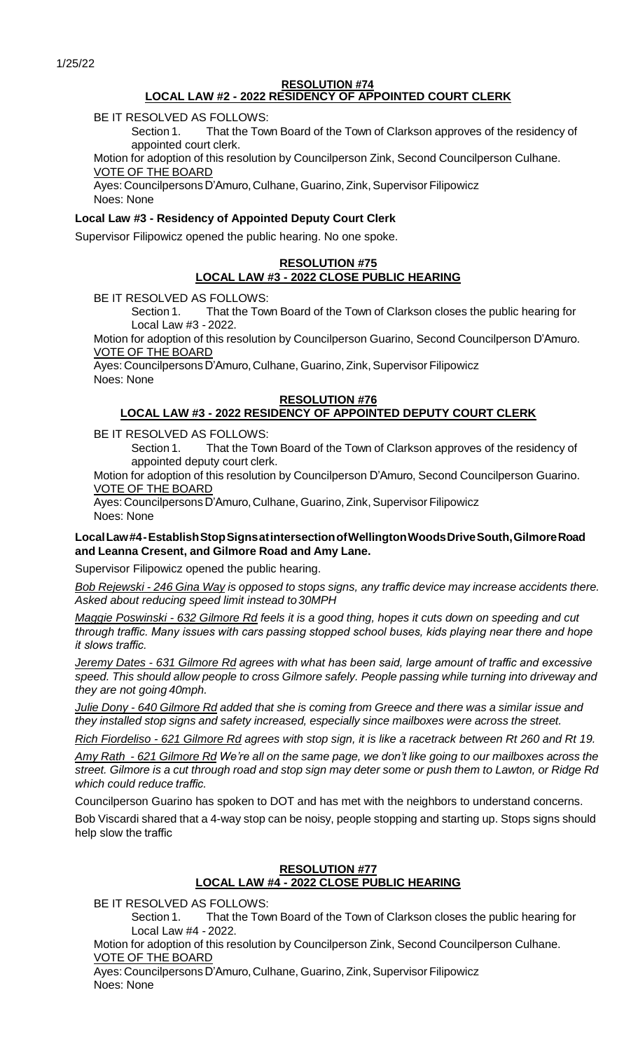#### **RESOLUTION #74 LOCAL LAW #2 - 2022 RESIDENCY OF APPOINTED COURT CLERK**

BE IT RESOLVED AS FOLLOWS:

Section 1. That the Town Board of the Town of Clarkson approves of the residency of appointed court clerk.

Motion for adoption of this resolution by Councilperson Zink, Second Councilperson Culhane. VOTE OF THE BOARD

Ayes: Councilpersons D'Amuro, Culhane, Guarino, Zink, Supervisor Filipowicz Noes: None

## **Local Law #3 - Residency of Appointed Deputy Court Clerk**

Supervisor Filipowicz opened the public hearing. No one spoke.

# **RESOLUTION #75 LOCAL LAW #3 - 2022 CLOSE PUBLIC HEARING**

BE IT RESOLVED AS FOLLOWS:

Section 1. That the Town Board of the Town of Clarkson closes the public hearing for Local Law #3 - 2022.

Motion for adoption of this resolution by Councilperson Guarino, Second Councilperson D'Amuro. VOTE OF THE BOARD

Ayes: Councilpersons D'Amuro, Culhane, Guarino, Zink, Supervisor Filipowicz Noes: None

## **RESOLUTION #76**

## **LOCAL LAW #3 - 2022 RESIDENCY OF APPOINTED DEPUTY COURT CLERK**

BE IT RESOLVED AS FOLLOWS:

Section 1. That the Town Board of the Town of Clarkson approves of the residency of appointed deputy court clerk.

Motion for adoption of this resolution by Councilperson D'Amuro, Second Councilperson Guarino. VOTE OF THE BOARD

Ayes: Councilpersons D'Amuro, Culhane, Guarino, Zink, Supervisor Filipowicz Noes: None

### **LocalLaw#4-EstablishStopSignsatintersectionofWellingtonWoodsDriveSouth,GilmoreRoad and Leanna Cresent, and Gilmore Road and Amy Lane.**

Supervisor Filipowicz opened the public hearing.

Bob Rejewski - 246 Gina Way is opposed to stops signs, any traffic device may increase accidents there. *Asked about reducing speed limit instead to30MPH*

*Maggie Poswinski - 632 Gilmore Rd feels it is a good thing, hopes it cuts down on speeding and cut through traffic. Many issues with cars passing stopped school buses, kids playing near there and hope it slows traffic.*

*Jeremy Dates - 631 Gilmore Rd agrees with what has been said, large amount of traffic and excessive speed. This should allow people to cross Gilmore safely. People passing while turning into driveway and they are not going 40mph.*

Julie Dony - 640 Gilmore Rd added that she is coming from Greece and there was a similar issue and *they installed stop signs and safety increased, especially since mailboxes were across the street.*

*Rich Fiordeliso - 621 Gilmore Rd agrees with stop sign, it is like a racetrack between Rt 260 and Rt 19.*

Amy Rath - 621 Gilmore Rd We're all on the same page, we don't like going to our mailboxes across the street. Gilmore is a cut through road and stop sign may deter some or push them to Lawton, or Ridge Rd *which could reduce traffic.*

Councilperson Guarino has spoken to DOT and has met with the neighbors to understand concerns.

Bob Viscardi shared that a 4-way stop can be noisy, people stopping and starting up. Stops signs should help slow the traffic

## **RESOLUTION #77 LOCAL LAW #4 - 2022 CLOSE PUBLIC HEARING**

BE IT RESOLVED AS FOLLOWS:

Section 1. That the Town Board of the Town of Clarkson closes the public hearing for Local Law #4 - 2022.

Motion for adoption of this resolution by Councilperson Zink, Second Councilperson Culhane. VOTE OF THE BOARD

Ayes: Councilpersons D'Amuro, Culhane, Guarino, Zink, Supervisor Filipowicz Noes: None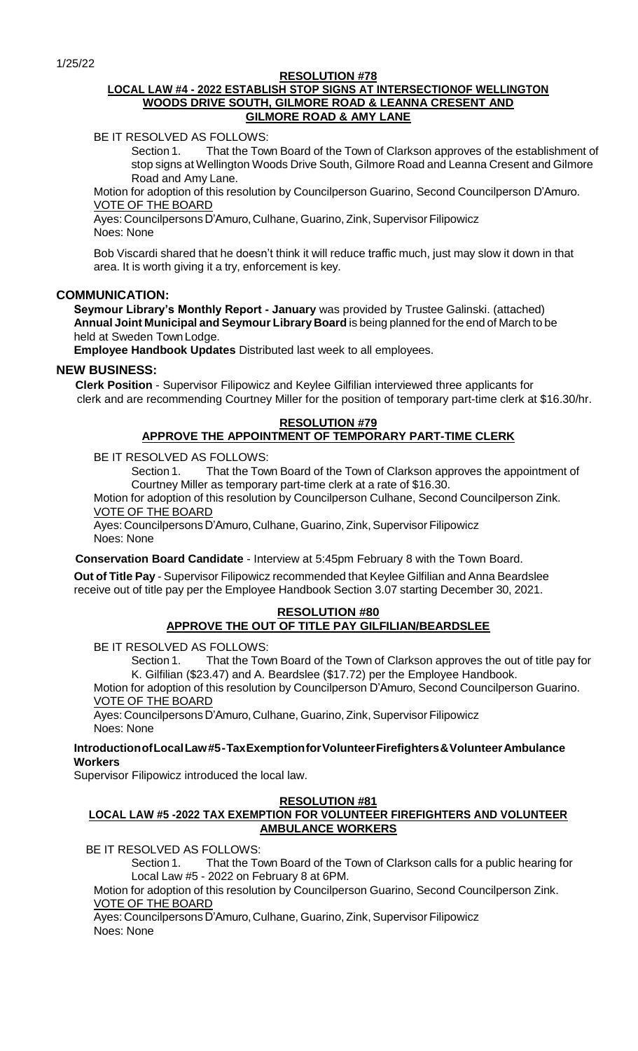1/25/22

#### **RESOLUTION #78**

### **LOCAL LAW #4 - 2022 ESTABLISH STOP SIGNS AT INTERSECTIONOF WELLINGTON WOODS DRIVE SOUTH, GILMORE ROAD & LEANNA CRESENT AND GILMORE ROAD & AMY LANE**

BE IT RESOLVED AS FOLLOWS:

Section 1. That the Town Board of the Town of Clarkson approves of the establishment of stop signs at Wellington Woods Drive South, Gilmore Road and Leanna Cresent and Gilmore Road and Amy Lane.

Motion for adoption of this resolution by Councilperson Guarino, Second Councilperson D'Amuro. VOTE OF THE BOARD

Ayes: Councilpersons D'Amuro, Culhane, Guarino, Zink, Supervisor Filipowicz Noes: None

Bob Viscardi shared that he doesn't think it will reduce traffic much, just may slow it down in that area. It is worth giving it a try, enforcement is key.

## **COMMUNICATION:**

**Seymour Library's Monthly Report - January** was provided by Trustee Galinski. (attached) **Annual Joint Municipal and Seymour Library Board** is being planned for the end of March to be held at Sweden Town Lodge.

**Employee Handbook Updates** Distributed last week to all employees.

## **NEW BUSINESS:**

**Clerk Position** - Supervisor Filipowicz and Keylee Gilfilian interviewed three applicants for clerk and are recommending Courtney Miller for the position of temporary part-time clerk at \$16.30/hr.

# **RESOLUTION #79 APPROVE THE APPOINTMENT OF TEMPORARY PART-TIME CLERK**

BE IT RESOLVED AS FOLLOWS:

Section 1. That the Town Board of the Town of Clarkson approves the appointment of Courtney Miller as temporary part-time clerk at a rate of \$16.30.

Motion for adoption of this resolution by Councilperson Culhane, Second Councilperson Zink. VOTE OF THE BOARD

Ayes: Councilpersons D'Amuro, Culhane, Guarino, Zink, Supervisor Filipowicz Noes: None

**Conservation Board Candidate** - Interview at 5:45pm February 8 with the Town Board.

**Out of Title Pay** - Supervisor Filipowicz recommended that Keylee Gilfilian and Anna Beardslee receive out of title pay per the Employee Handbook Section 3.07 starting December 30, 2021.

# **RESOLUTION #80 APPROVE THE OUT OF TITLE PAY GILFILIAN/BEARDSLEE**

BE IT RESOLVED AS FOLLOWS:

Section 1. That the Town Board of the Town of Clarkson approves the out of title pay for K. Gilfilian (\$23.47) and A. Beardslee (\$17.72) per the Employee Handbook.

Motion for adoption of this resolution by Councilperson D'Amuro, Second Councilperson Guarino. VOTE OF THE BOARD

Ayes: Councilpersons D'Amuro, Culhane, Guarino, Zink, Supervisor Filipowicz Noes: None

**IntroductionofLocalLaw#5-TaxExemptionforVolunteerFirefighters&VolunteerAmbulance Workers**

Supervisor Filipowicz introduced the local law.

### **RESOLUTION #81**

## **LOCAL LAW #5 -2022 TAX EXEMPTION FOR VOLUNTEER FIREFIGHTERS AND VOLUNTEER AMBULANCE WORKERS**

BE IT RESOLVED AS FOLLOWS:

Section 1. That the Town Board of the Town of Clarkson calls for a public hearing for Local Law #5 - 2022 on February 8 at 6PM.

Motion for adoption of this resolution by Councilperson Guarino, Second Councilperson Zink. VOTE OF THE BOARD

Ayes: Councilpersons D'Amuro, Culhane, Guarino, Zink, Supervisor Filipowicz Noes: None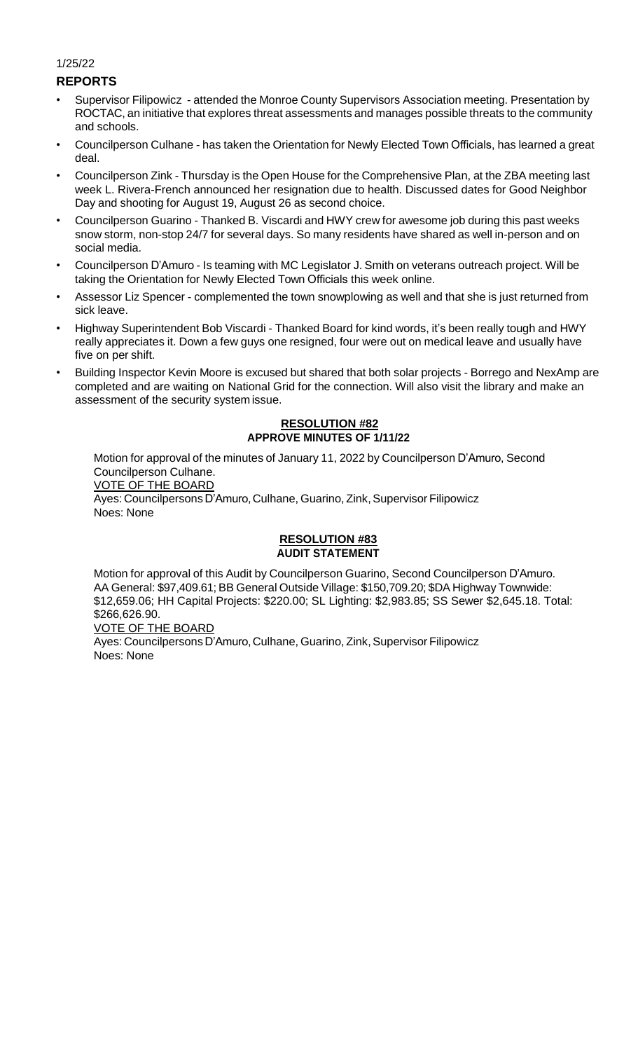#### 1/25/22

## **REPORTS**

- Supervisor Filipowicz attended the Monroe County Supervisors Association meeting. Presentation by ROCTAC, an initiative that explores threat assessments and manages possible threats to the community and schools.
- Councilperson Culhane has taken the Orientation for Newly Elected Town Officials, has learned a great deal.
- Councilperson Zink Thursday is the Open House for the Comprehensive Plan, at the ZBA meeting last week L. Rivera-French announced her resignation due to health. Discussed dates for Good Neighbor Day and shooting for August 19, August 26 as second choice.
- Councilperson Guarino Thanked B. Viscardi and HWY crew for awesome job during this past weeks snow storm, non-stop 24/7 for several days. So many residents have shared as well in-person and on social media.
- Councilperson D'Amuro Is teaming with MC Legislator J. Smith on veterans outreach project. Will be taking the Orientation for Newly Elected Town Officials this week online.
- Assessor Liz Spencer complemented the town snowplowing as well and that she is just returned from sick leave.
- Highway Superintendent Bob Viscardi Thanked Board for kind words, it's been really tough and HWY really appreciates it. Down a few guys one resigned, four were out on medical leave and usually have five on per shift.
- Building Inspector Kevin Moore is excused but shared that both solar projects Borrego and NexAmp are completed and are waiting on National Grid for the connection. Will also visit the library and make an assessment of the security system issue.

#### **RESOLUTION #82 APPROVE MINUTES OF 1/11/22**

Motion for approval of the minutes of January 11, 2022 by Councilperson D'Amuro, Second Councilperson Culhane. VOTE OF THE BOARD Ayes: Councilpersons D'Amuro, Culhane, Guarino, Zink, Supervisor Filipowicz Noes: None

## **RESOLUTION #83 AUDIT STATEMENT**

Motion for approval of this Audit by Councilperson Guarino, Second Councilperson D'Amuro. AA General: \$97,409.61; BB General Outside Village: \$150,709.20; \$DA Highway Townwide: \$12,659.06; HH Capital Projects: \$220.00; SL Lighting: \$2,983.85; SS Sewer \$2,645.18. Total: \$266,626.90.

VOTE OF THE BOARD

Ayes: Councilpersons D'Amuro, Culhane, Guarino, Zink, Supervisor Filipowicz Noes: None